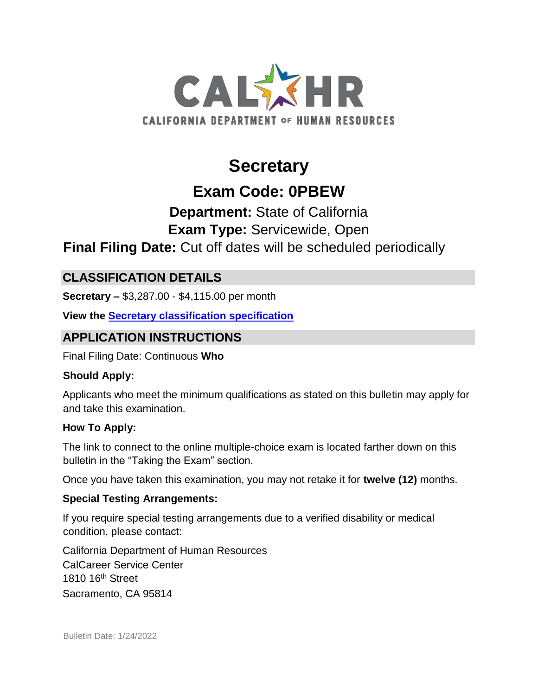

# **Secretary**

# **Exam Code: 0PBEW**

# **Department:** State of California **Exam Type:** Servicewide, Open

# **Final Filing Date:** Cut off dates will be scheduled periodically

# **CLASSIFICATION DETAILS**

**Secretary –** \$3,287.00 - \$4,115.00 per month

**View the [Secretary](http://www.calhr.ca.gov/state-hr-professionals/pages/1176.aspx) [classification specification](http://www.calhr.ca.gov/state-hr-professionals/pages/1176.aspx)**

# **APPLICATION INSTRUCTIONS**

Final Filing Date: Continuous **Who** 

## **Should Apply:**

Applicants who meet the minimum qualifications as stated on this bulletin may apply for and take this examination.

## **How To Apply:**

The link to connect to the online multiple-choice exam is located farther down on this bulletin in the "Taking the Exam" section.

Once you have taken this examination, you may not retake it for **twelve (12)** months.

## **Special Testing Arrangements:**

If you require special testing arrangements due to a verified disability or medical condition, please contact:

California Department of Human Resources CalCareer Service Center 1810 16th Street Sacramento, CA 95814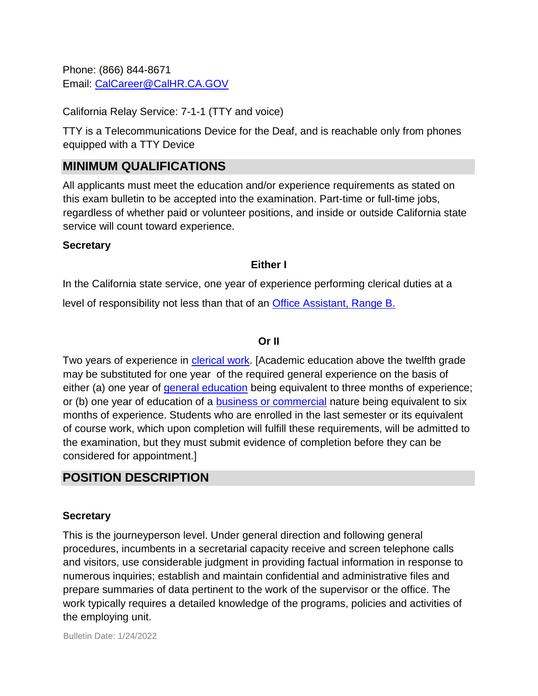Phone: (866) 844-8671 Email: CalCareer@CalHR.CA.GOV

California Relay Service: 7-1-1 (TTY and voice)

TTY is a Telecommunications Device for the Deaf, and is reachable only from phones equipped with a TTY Device

# **MINIMUM QUALIFICATIONS**

All applicants must meet the education and/or experience requirements as stated on this exam bulletin to be accepted into the examination. Part-time or full-time jobs, regardless of whether paid or volunteer positions, and inside or outside California state service will count toward experience.

### **Secretary**

### **Either I**

In the California state service, one year of experience performing clerical duties at a level of responsibility not less than that of an [Office Assistant, Range B.](https://jobs.ca.gov/jobsgen/3PB43a.pdf)

### **Or II**

Two years of experience in [clerical work.](https://jobs.ca.gov/jobsgen/3PB43d.pdf) [Academic education above the twelfth grade may be substituted for one year of the required general experience on the basis of either (a) one year of [general education](https://jobs.ca.gov/jobsgen/3PB43b.pdf) being equivalent to three months of experience; or (b) one year of education of a [business or commercial](https://jobs.ca.gov/jobsgen/3PB43c.pdf) nature being equivalent to six months of experience. Students who are enrolled in the last semester or its equivalent of course work, which upon completion will fulfill these requirements, will be admitted to the examination, but they must submit evidence of completion before they can be considered for appointment.]

## **POSITION DESCRIPTION**

#### **Secretary**

This is the journeyperson level. Under general direction and following general procedures, incumbents in a secretarial capacity receive and screen telephone calls and visitors, use considerable judgment in providing factual information in response to numerous inquiries; establish and maintain confidential and administrative files and prepare summaries of data pertinent to the work of the supervisor or the office. The work typically requires a detailed knowledge of the programs, policies and activities of the employing unit.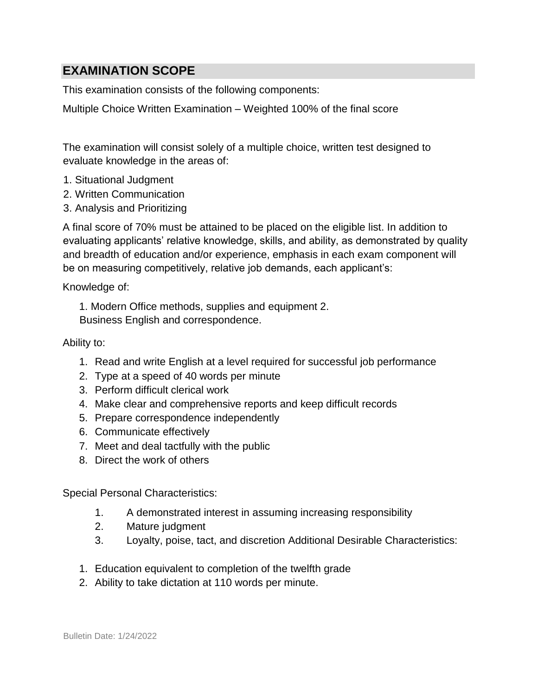# **EXAMINATION SCOPE**

This examination consists of the following components:

Multiple Choice Written Examination – Weighted 100% of the final score

The examination will consist solely of a multiple choice, written test designed to evaluate knowledge in the areas of:

- 1. Situational Judgment
- 2. Written Communication
- 3. Analysis and Prioritizing

A final score of 70% must be attained to be placed on the eligible list. In addition to evaluating applicants' relative knowledge, skills, and ability, as demonstrated by quality and breadth of education and/or experience, emphasis in each exam component will be on measuring competitively, relative job demands, each applicant's:

Knowledge of:

1. Modern Office methods, supplies and equipment 2. Business English and correspondence.

### Ability to:

- 1. Read and write English at a level required for successful job performance
- 2. Type at a speed of 40 words per minute
- 3. Perform difficult clerical work
- 4. Make clear and comprehensive reports and keep difficult records
- 5. Prepare correspondence independently
- 6. Communicate effectively
- 7. Meet and deal tactfully with the public
- 8. Direct the work of others

Special Personal Characteristics:

- 1. A demonstrated interest in assuming increasing responsibility
- 2. Mature judgment
- 3. Loyalty, poise, tact, and discretion Additional Desirable Characteristics:
- 1. Education equivalent to completion of the twelfth grade
- 2. Ability to take dictation at 110 words per minute.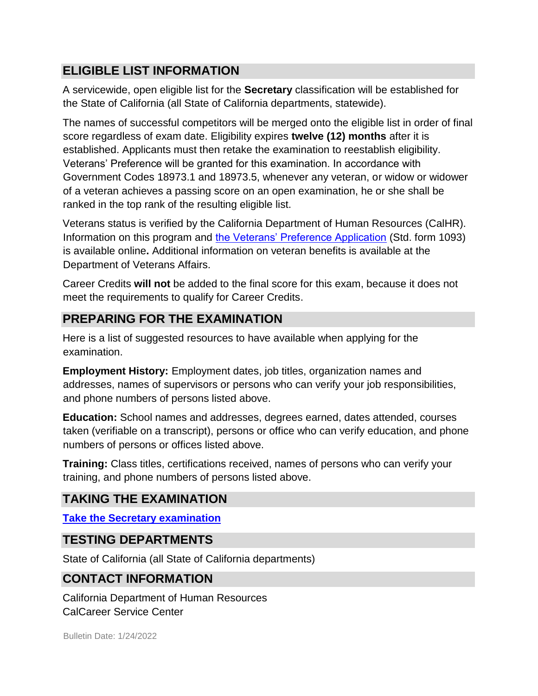# **ELIGIBLE LIST INFORMATION**

A servicewide, open eligible list for the **Secretary** classification will be established for the State of California (all State of California departments, statewide).

The names of successful competitors will be merged onto the eligible list in order of final score regardless of exam date. Eligibility expires **twelve (12) months** after it is established. Applicants must then retake the examination to reestablish eligibility. Veterans' Preference will be granted for this examination. In accordance with Government Codes 18973.1 and 18973.5, whenever any veteran, or widow or widower of a veteran achieves a passing score on an open examination, he or she shall be ranked in the top rank of the resulting eligible list.

Veterans status is verified by the California Department of Human Resources (CalHR). Information on this program and [the Veterans' Preference Application](https://www.jobs.ca.gov/CalHRPublic/Landing/Jobs/VeteransInformation.aspx) [\(](https://www.jobs.ca.gov/CalHRPublic/Landing/Jobs/VeteransInformation.aspx)Std. form 1093) is available online**.** Additional information on veteran benefits is available at the Department of Veterans Affairs.

Career Credits **will not** be added to the final score for this exam, because it does not meet the requirements to qualify for Career Credits.

# **PREPARING FOR THE EXAMINATION**

Here is a list of suggested resources to have available when applying for the examination.

**Employment History:** Employment dates, job titles, organization names and addresses, names of supervisors or persons who can verify your job responsibilities, and phone numbers of persons listed above.

**Education:** School names and addresses, degrees earned, dates attended, courses taken (verifiable on a transcript), persons or office who can verify education, and phone numbers of persons or offices listed above.

**Training:** Class titles, certifications received, names of persons who can verify your training, and phone numbers of persons listed above.

# **TAKING THE EXAMINATION**

**[Take the](https://www.jobs.ca.gov/CalHRPublic/Login.aspx?ExamId=0PBEW) [Secretary](https://www.jobs.ca.gov/CalHRPublic/Login.aspx?ExamId=0PBEW) [examination](https://www.jobs.ca.gov/CalHRPublic/Login.aspx?ExamId=0PBEW)**

# **TESTING DEPARTMENTS**

State of California (all State of California departments)

# **CONTACT INFORMATION**

California Department of Human Resources CalCareer Service Center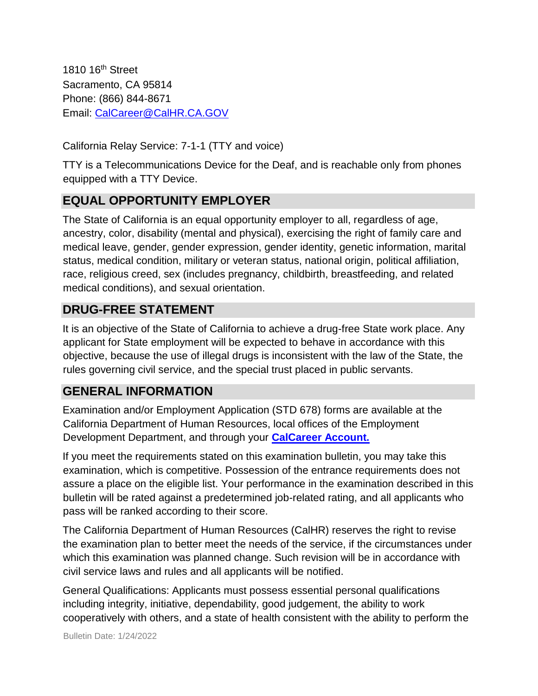1810 16<sup>th</sup> Street Sacramento, CA 95814 Phone: (866) 844-8671 Email: CalCareer@CalHR.CA.GOV

California Relay Service: 7-1-1 (TTY and voice)

TTY is a Telecommunications Device for the Deaf, and is reachable only from phones equipped with a TTY Device.

# **EQUAL OPPORTUNITY EMPLOYER**

The State of California is an equal opportunity employer to all, regardless of age, ancestry, color, disability (mental and physical), exercising the right of family care and medical leave, gender, gender expression, gender identity, genetic information, marital status, medical condition, military or veteran status, national origin, political affiliation, race, religious creed, sex (includes pregnancy, childbirth, breastfeeding, and related medical conditions), and sexual orientation.

# **DRUG-FREE STATEMENT**

It is an objective of the State of California to achieve a drug-free State work place. Any applicant for State employment will be expected to behave in accordance with this objective, because the use of illegal drugs is inconsistent with the law of the State, the rules governing civil service, and the special trust placed in public servants.

# **GENERAL INFORMATION**

Examination and/or Employment Application (STD 678) forms are available at the California Department of Human Resources, local offices of the Employment Development Department, and through your **[CalCareer Account.](http://www.jobs.ca.gov/)**

If you meet the requirements stated on this examination bulletin, you may take this examination, which is competitive. Possession of the entrance requirements does not assure a place on the eligible list. Your performance in the examination described in this bulletin will be rated against a predetermined job-related rating, and all applicants who pass will be ranked according to their score.

The California Department of Human Resources (CalHR) reserves the right to revise the examination plan to better meet the needs of the service, if the circumstances under which this examination was planned change. Such revision will be in accordance with civil service laws and rules and all applicants will be notified.

General Qualifications: Applicants must possess essential personal qualifications including integrity, initiative, dependability, good judgement, the ability to work cooperatively with others, and a state of health consistent with the ability to perform the